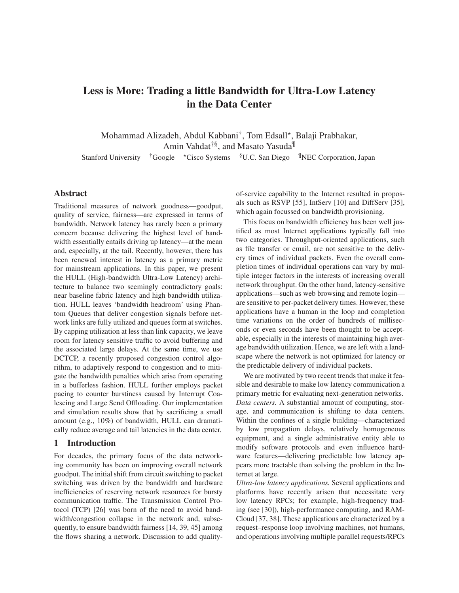# **Less is More: Trading a little Bandwidth for Ultra-Low Latency in the Data Center**

Mohammad Alizadeh, Abdul Kabbani<sup>†</sup>, Tom Edsall\*, Balaji Prabhakar, Amin Vahdat†§, and Masato Yasuda¶

Stanford University <sup>†</sup>Google \*Cisco Systems <sup>§</sup>U.C. San Diego <sup>¶</sup>NEC Corporation, Japan

# **Abstract**

Traditional measures of network goodness—goodput, quality of service, fairness—are expressed in terms of bandwidth. Network latency has rarely been a primary concern because delivering the highest level of bandwidth essentially entails driving up latency—at the mean and, especially, at the tail. Recently, however, there has been renewed interest in latency as a primary metric for mainstream applications. In this paper, we present the HULL (High-bandwidth Ultra-Low Latency) architecture to balance two seemingly contradictory goals: near baseline fabric latency and high bandwidth utilization. HULL leaves 'bandwidth headroom' using Phantom Queues that deliver congestion signals before network links are fully utilized and queues form at switches. By capping utilization at less than link capacity, we leave room for latency sensitive traffic to avoid buffering and the associated large delays. At the same time, we use DCTCP, a recently proposed congestion control algorithm, to adaptively respond to congestion and to mitigate the bandwidth penalties which arise from operating in a bufferless fashion. HULL further employs packet pacing to counter burstiness caused by Interrupt Coalescing and Large Send Offloading. Our implementation and simulation results show that by sacrificing a small amount (e.g., 10%) of bandwidth, HULL can dramatically reduce average and tail latencies in the data center.

## **1 Introduction**

For decades, the primary focus of the data networking community has been on improving overall network goodput. The initial shift from circuit switching to packet switching was driven by the bandwidth and hardware inefficiencies of reserving network resources for bursty communication traffic. The Transmission Control Protocol (TCP) [26] was born of the need to avoid bandwidth/congestion collapse in the network and, subsequently, to ensure bandwidth fairness [14, 39, 45] among the flows sharing a network. Discussion to add qualityof-service capability to the Internet resulted in proposals such as RSVP [55], IntServ [10] and DiffServ [35], which again focussed on bandwidth provisioning.

This focus on bandwidth efficiency has been well justified as most Internet applications typically fall into two categories. Throughput-oriented applications, such as file transfer or email, are not sensitive to the delivery times of individual packets. Even the overall completion times of individual operations can vary by multiple integer factors in the interests of increasing overall network throughput. On the other hand, latency-sensitive applications—such as web browsing and remote login are sensitive to per-packet delivery times. However, these applications have a human in the loop and completion time variations on the order of hundreds of milliseconds or even seconds have been thought to be acceptable, especially in the interests of maintaining high average bandwidth utilization. Hence, we are left with a landscape where the network is not optimized for latency or the predictable delivery of individual packets.

We are motivated by two recent trends that make it feasible and desirable to make low latency communication a primary metric for evaluating next-generation networks. *Data centers.* A substantial amount of computing, storage, and communication is shifting to data centers. Within the confines of a single building—characterized by low propagation delays, relatively homogeneous equipment, and a single administrative entity able to modify software protocols and even influence hardware features—delivering predictable low latency appears more tractable than solving the problem in the Internet at large.

*Ultra-low latency applications.* Several applications and platforms have recently arisen that necessitate very low latency RPCs; for example, high-frequency trading (see [30]), high-performance computing, and RAM-Cloud [37, 38]. These applications are characterized by a request–response loop involving machines, not humans, and operations involving multiple parallel requests/RPCs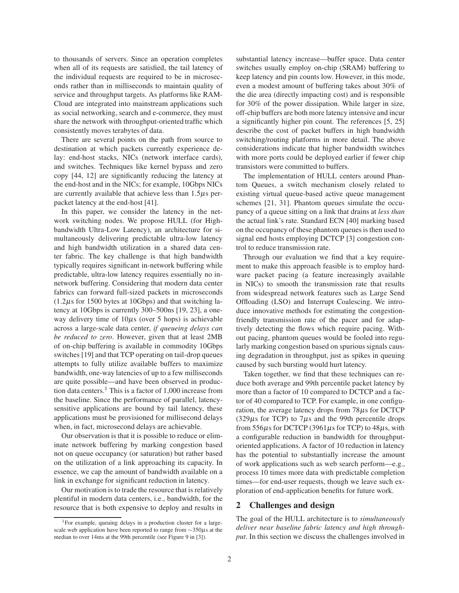to thousands of servers. Since an operation completes when all of its requests are satisfied, the tail latency of the individual requests are required to be in microseconds rather than in milliseconds to maintain quality of service and throughput targets. As platforms like RAM-Cloud are integrated into mainstream applications such as social networking, search and e-commerce, they must share the network with throughput-oriented traffic which consistently moves terabytes of data.

There are several points on the path from source to destination at which packets currently experience delay: end-host stacks, NICs (network interface cards), and switches. Techniques like kernel bypass and zero copy [44, 12] are significantly reducing the latency at the end-host and in the NICs; for example, 10Gbps NICs are currently available that achieve less than  $1.5\mu s$  perpacket latency at the end-host [41].

In this paper, we consider the latency in the network switching nodes. We propose HULL (for Highbandwidth Ultra-Low Latency), an architecture for simultaneously delivering predictable ultra-low latency and high bandwidth utilization in a shared data center fabric. The key challenge is that high bandwidth typically requires significant in-network buffering while predictable, ultra-low latency requires essentially no innetwork buffering. Considering that modern data center fabrics can forward full-sized packets in microseconds  $(1.2 \mu s)$  for 1500 bytes at 10Gbps) and that switching latency at 10Gbps is currently 300–500ns [19, 23], a oneway delivery time of  $10\mu s$  (over 5 hops) is achievable across a large-scale data center, *if queueing delays can be reduced to zero*. However, given that at least 2MB of on-chip buffering is available in commodity 10Gbps switches [19] and that TCP operating on tail-drop queues attempts to fully utilize available buffers to maximize bandwidth, one-way latencies of up to a few milliseconds are quite possible—and have been observed in production data centers.<sup>1</sup> This is a factor of 1,000 increase from the baseline. Since the performance of parallel, latencysensitive applications are bound by tail latency, these applications must be provisioned for millisecond delays when, in fact, microsecond delays are achievable.

Our observation is that it is possible to reduce or eliminate network buffering by marking congestion based not on queue occupancy (or saturation) but rather based on the utilization of a link approaching its capacity. In essence, we cap the amount of bandwidth available on a link in exchange for significant reduction in latency.

Our motivation is to trade the resource that is relatively plentiful in modern data centers, i.e., bandwidth, for the resource that is both expensive to deploy and results in substantial latency increase—buffer space. Data center switches usually employ on-chip (SRAM) buffering to keep latency and pin counts low. However, in this mode, even a modest amount of buffering takes about 30% of the die area (directly impacting cost) and is responsible for 30% of the power dissipation. While larger in size, off-chip buffers are both more latency intensive and incur a significantly higher pin count. The references [5, 25] describe the cost of packet buffers in high bandwidth switching/routing platforms in more detail. The above considerations indicate that higher bandwidth switches with more ports could be deployed earlier if fewer chip transistors were committed to buffers.

The implementation of HULL centers around Phantom Queues, a switch mechanism closely related to existing virtual queue-based active queue management schemes [21, 31]. Phantom queues simulate the occupancy of a queue sitting on a link that drains at *less than* the actual link's rate. Standard ECN [40] marking based on the occupancy of these phantom queues is then used to signal end hosts employing DCTCP [3] congestion control to reduce transmission rate.

Through our evaluation we find that a key requirement to make this approach feasible is to employ hardware packet pacing (a feature increasingly available in NICs) to smooth the transmission rate that results from widespread network features such as Large Send Offloading (LSO) and Interrupt Coalescing. We introduce innovative methods for estimating the congestionfriendly transmission rate of the pacer and for adaptively detecting the flows which require pacing. Without pacing, phantom queues would be fooled into regularly marking congestion based on spurious signals causing degradation in throughput, just as spikes in queuing caused by such bursting would hurt latency.

Taken together, we find that these techniques can reduce both average and 99th percentile packet latency by more than a factor of 10 compared to DCTCP and a factor of 40 compared to TCP. For example, in one configuration, the average latency drops from 78µs for DCTCP  $(329\mu s$  for TCP) to 7 $\mu s$  and the 99th percentile drops from 556 $\mu$ s for DCTCP (3961 $\mu$ s for TCP) to 48 $\mu$ s, with a configurable reduction in bandwidth for throughputoriented applications. A factor of 10 reduction in latency has the potential to substantially increase the amount of work applications such as web search perform—e.g., process 10 times more data with predictable completion times—for end-user requests, though we leave such exploration of end-application benefits for future work.

### **2 Challenges and design**

The goal of the HULL architecture is to *simultaneously deliver near baseline fabric latency and high throughput*. In this section we discuss the challenges involved in

<sup>1</sup>For example, queuing delays in a production cluster for a largescale web application have been reported to range from ∼350μs at the median to over 14ms at the 99th percentile (see Figure 9 in [3]).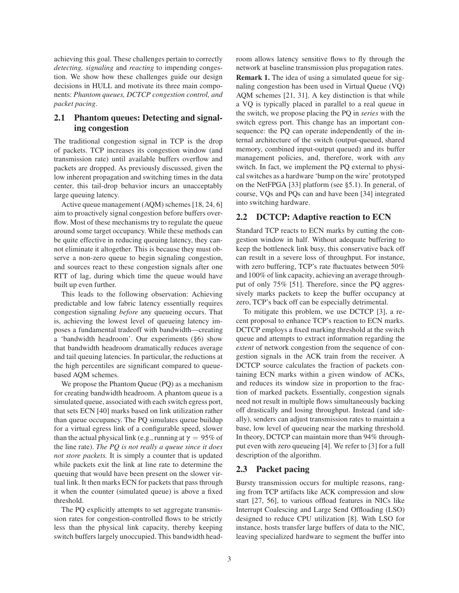achieving this goal. These challenges pertain to correctly *detecting, signaling* and *reacting* to impending congestion. We show how these challenges guide our design decisions in HULL and motivate its three main components: *Phantom queues, DCTCP congestion control, and packet pacing*.

# **2.1 Phantom queues: Detecting and signaling congestion**

The traditional congestion signal in TCP is the drop of packets. TCP increases its congestion window (and transmission rate) until available buffers overflow and packets are dropped. As previously discussed, given the low inherent propagation and switching times in the data center, this tail-drop behavior incurs an unacceptably large queuing latency.

Active queue management (AQM) schemes [18, 24, 6] aim to proactively signal congestion before buffers overflow. Most of these mechanisms try to regulate the queue around some target occupancy. While these methods can be quite effective in reducing queuing latency, they cannot eliminate it altogether. This is because they must observe a non-zero queue to begin signaling congestion, and sources react to these congestion signals after one RTT of lag, during which time the queue would have built up even further.

This leads to the following observation: Achieving predictable and low fabric latency essentially requires congestion signaling *before* any queueing occurs. That is, achieving the lowest level of queueing latency imposes a fundamental tradeoff with bandwidth—creating a 'bandwidth headroom'. Our experiments (§6) show that bandwidth headroom dramatically reduces average and tail queuing latencies. In particular, the reductions at the high percentiles are significant compared to queuebased AQM schemes.

We propose the Phantom Queue (PQ) as a mechanism for creating bandwidth headroom. A phantom queue is a simulated queue, associated with each switch egress port, that sets ECN [40] marks based on link utilization rather than queue occupancy. The PQ simulates queue buildup for a virtual egress link of a configurable speed, slower than the actual physical link (e.g., running at  $\gamma = 95\%$  of the line rate). *The PQ is not really a queue since it does not store packets.* It is simply a counter that is updated while packets exit the link at line rate to determine the queuing that would have been present on the slower virtual link. It then marks ECN for packets that pass through it when the counter (simulated queue) is above a fixed threshold.

The PQ explicitly attempts to set aggregate transmission rates for congestion-controlled flows to be strictly less than the physical link capacity, thereby keeping switch buffers largely unoccupied. This bandwidth headroom allows latency sensitive flows to fly through the network at baseline transmission plus propagation rates. **Remark 1.** The idea of using a simulated queue for signaling congestion has been used in Virtual Queue (VQ) AQM schemes [21, 31]. A key distinction is that while a VQ is typically placed in parallel to a real queue in the switch, we propose placing the PQ in *series* with the switch egress port. This change has an important consequence: the PQ can operate independently of the internal architecture of the switch (output-queued, shared memory, combined input-output queued) and its buffer management policies, and, therefore, work with *any* switch. In fact, we implement the PQ external to physical switches as a hardware 'bump on the wire' prototyped on the NetFPGA [33] platform (see §5.1). In general, of course, VQs and PQs can and have been [34] integrated into switching hardware.

### **2.2 DCTCP: Adaptive reaction to ECN**

Standard TCP reacts to ECN marks by cutting the congestion window in half. Without adequate buffering to keep the bottleneck link busy, this conservative back off can result in a severe loss of throughput. For instance, with zero buffering, TCP's rate fluctuates between 50% and 100% of link capacity, achieving an average throughput of only 75% [51]. Therefore, since the PQ aggressively marks packets to keep the buffer occupancy at zero, TCP's back off can be especially detrimental.

To mitigate this problem, we use DCTCP [3], a recent proposal to enhance TCP's reaction to ECN marks. DCTCP employs a fixed marking threshold at the switch queue and attempts to extract information regarding the *extent* of network congestion from the sequence of congestion signals in the ACK train from the receiver. A DCTCP source calculates the fraction of packets containing ECN marks within a given window of ACKs, and reduces its window size in proportion to the fraction of marked packets. Essentially, congestion signals need not result in multiple flows simultaneously backing off drastically and losing throughput. Instead (and ideally), senders can adjust transmission rates to maintain a base, low level of queueing near the marking threshold. In theory, DCTCP can maintain more than 94% throughput even with zero queueing [4]. We refer to [3] for a full description of the algorithm.

### **2.3 Packet pacing**

Bursty transmission occurs for multiple reasons, ranging from TCP artifacts like ACK compression and slow start [27, 56], to various offload features in NICs like Interrupt Coalescing and Large Send Offloading (LSO) designed to reduce CPU utilization [8]. With LSO for instance, hosts transfer large buffers of data to the NIC, leaving specialized hardware to segment the buffer into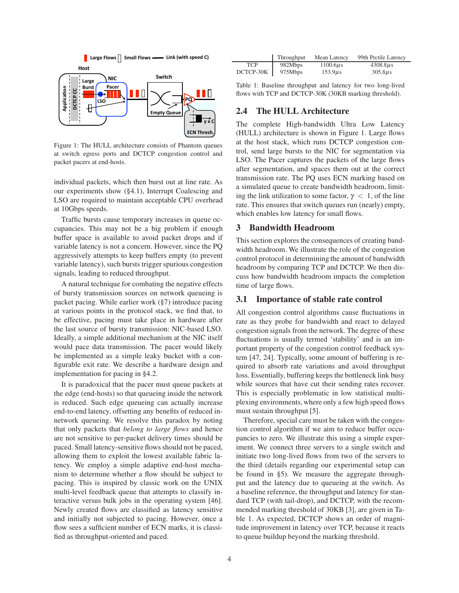

Figure 1: The HULL architecture consists of Phantom queues at switch egress ports and DCTCP congestion control and packet pacers at end-hosts.

individual packets, which then burst out at line rate. As our experiments show (§4.1), Interrupt Coalescing and LSO are required to maintain acceptable CPU overhead at 10Gbps speeds.

Traffic bursts cause temporary increases in queue occupancies. This may not be a big problem if enough buffer space is available to avoid packet drops and if variable latency is not a concern. However, since the PQ aggressively attempts to keep buffers empty (to prevent variable latency), such bursts trigger spurious congestion signals, leading to reduced throughput.

A natural technique for combating the negative effects of bursty transmission sources on network queueing is packet pacing. While earlier work (§7) introduce pacing at various points in the protocol stack, we find that, to be effective, pacing must take place in hardware after the last source of bursty transmission: NIC-based LSO. Ideally, a simple additional mechanism at the NIC itself would pace data transmission. The pacer would likely be implemented as a simple leaky bucket with a configurable exit rate. We describe a hardware design and implementation for pacing in §4.2.

It is paradoxical that the pacer must queue packets at the edge (end-hosts) so that queueing inside the network is reduced. Such edge queueing can actually increase end-to-end latency, offsetting any benefits of reduced innetwork queueing. We resolve this paradox by noting that only packets that *belong to large flows* and hence are not sensitive to per-packet delivery times should be paced. Small latency-sensitive flows should not be paced, allowing them to exploit the lowest available fabric latency. We employ a simple adaptive end-host mechanism to determine whether a flow should be subject to pacing. This is inspired by classic work on the UNIX multi-level feedback queue that attempts to classify interactive versus bulk jobs in the operating system [46]. Newly created flows are classified as latency sensitive and initially not subjected to pacing. However, once a flow sees a sufficient number of ECN marks, it is classified as throughput-oriented and paced.

|            | <b>Throughput</b> | Mean Latency  | 99th Pretile Latency |
|------------|-------------------|---------------|----------------------|
| <b>TCP</b> | 982Mbps           | $1100.6\mu s$ | $4308.8\mu s$        |
| DCTCP-30K  | 975Mbps           | $153.9\mu s$  | $305.8\mu s$         |

Table 1: Baseline throughput and latency for two long-lived flows with TCP and DCTCP-30K (30KB marking threshold).

### **2.4 The HULL Architecture**

The complete High-bandwidth Ultra Low Latency (HULL) architecture is shown in Figure 1. Large flows at the host stack, which runs DCTCP congestion control, send large bursts to the NIC for segmentation via LSO. The Pacer captures the packets of the large flows after segmentation, and spaces them out at the correct transmission rate. The PQ uses ECN marking based on a simulated queue to create bandwidth headroom, limiting the link utilization to some factor,  $\gamma$  < 1, of the line rate. This ensures that switch queues run (nearly) empty, which enables low latency for small flows.

### **3 Bandwidth Headroom**

This section explores the consequences of creating bandwidth headroom. We illustrate the role of the congestion control protocol in determining the amount of bandwidth headroom by comparing TCP and DCTCP. We then discuss how bandwidth headroom impacts the completion time of large flows.

#### **3.1 Importance of stable rate control**

All congestion control algorithms cause fluctuations in rate as they probe for bandwidth and react to delayed congestion signals from the network. The degree of these fluctuations is usually termed 'stability' and is an important property of the congestion control feedback system [47, 24]. Typically, some amount of buffering is required to absorb rate variations and avoid throughput loss. Essentially, buffering keeps the bottleneck link busy while sources that have cut their sending rates recover. This is especially problematic in low statistical multiplexing environments, where only a few high speed flows must sustain throughput [5].

Therefore, special care must be taken with the congestion control algorithm if we aim to reduce buffer occupancies to zero. We illustrate this using a simple experiment. We connect three servers to a single switch and initiate two long-lived flows from two of the servers to the third (details regarding our experimental setup can be found in §5). We measure the aggregate throughput and the latency due to queueing at the switch. As a baseline reference, the throughput and latency for standard TCP (with tail-drop), and DCTCP, with the recommended marking threshold of 30KB [3], are given in Table 1. As expected, DCTCP shows an order of magnitude improvement in latency over TCP, because it reacts to queue buildup beyond the marking threshold.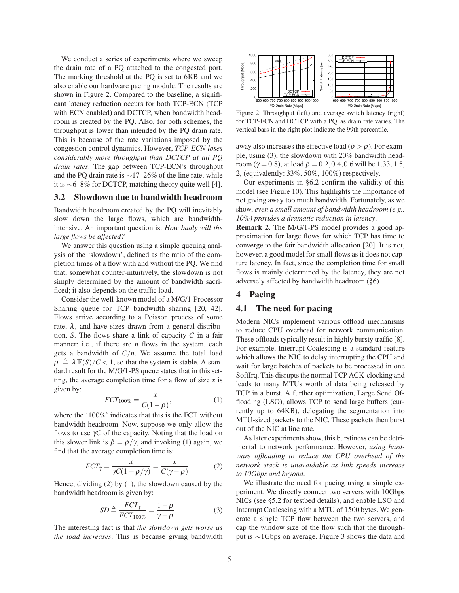We conduct a series of experiments where we sweep the drain rate of a PQ attached to the congested port. The marking threshold at the PQ is set to 6KB and we also enable our hardware pacing module. The results are shown in Figure 2. Compared to the baseline, a significant latency reduction occurs for both TCP-ECN (TCP with ECN enabled) and DCTCP, when bandwidth headroom is created by the PQ. Also, for both schemes, the throughput is lower than intended by the PQ drain rate. This is because of the rate variations imposed by the congestion control dynamics. However, *TCP-ECN loses considerably more throughput than DCTCP at all PQ drain rates*. The gap between TCP-ECN's throughput and the PQ drain rate is ∼17–26% of the line rate, while it is ∼6–8% for DCTCP, matching theory quite well [4].

# **3.2 Slowdown due to bandwidth headroom**

Bandwidth headroom created by the PQ will inevitably slow down the large flows, which are bandwidthintensive. An important question is: *How badly will the large flows be affected?*

We answer this question using a simple queuing analysis of the 'slowdown', defined as the ratio of the completion times of a flow with and without the PQ. We find that, somewhat counter-intuitively, the slowdown is not simply determined by the amount of bandwidth sacrificed; it also depends on the traffic load.

Consider the well-known model of a M/G/1-Processor Sharing queue for TCP bandwidth sharing [20, 42]. Flows arrive according to a Poisson process of some rate,  $\lambda$ , and have sizes drawn from a general distribution, *S*. The flows share a link of capacity *C* in a fair manner; i.e., if there are *n* flows in the system, each gets a bandwidth of  $C/n$ . We assume the total load  $\rho \triangleq \lambda \mathbb{E}(S)/C < 1$ , so that the system is stable. A standard result for the M/G/1-PS queue states that in this setting, the average completion time for a flow of size *x* is given by:

$$
FCT_{100\%} = \frac{x}{C(1-\rho)},\tag{1}
$$

where the '100%' indicates that this is the FCT without bandwidth headroom. Now, suppose we only allow the flows to use γ*C* of the capacity. Noting that the load on this slower link is  $\tilde{\rho} = \rho/\gamma$ , and invoking (1) again, we find that the average completion time is:

$$
FCT_{\gamma} = \frac{x}{\gamma C(1 - \rho/\gamma)} = \frac{x}{C(\gamma - \rho)}.
$$
 (2)

Hence, dividing (2) by (1), the slowdown caused by the bandwidth headroom is given by:

$$
SD \triangleq \frac{FCT_{\gamma}}{FCT_{100\%}} = \frac{1 - \rho}{\gamma - \rho}.
$$
 (3)

The interesting fact is that *the slowdown gets worse as the load increases*. This is because giving bandwidth



Figure 2: Throughput (left) and average switch latency (right) for TCP-ECN and DCTCP with a PQ, as drain rate varies. The vertical bars in the right plot indicate the 99th percentile.

away also increases the effective load ( $\hat{\rho} > \rho$ ). For example, using (3), the slowdown with 20% bandwidth headroom ( $\gamma$  = 0.8), at load  $\rho$  = 0.2, 0.4, 0.6 will be 1.33, 1.5, 2, (equivalently: 33%, 50%, 100%) respectively.

Our experiments in §6.2 confirm the validity of this model (see Figure 10). This highlights the importance of not giving away too much bandwidth. Fortunately, as we show, *even a small amount of bandwidth headroom (e.g., 10%) provides a dramatic reduction in latency*.

**Remark 2.** The M/G/1-PS model provides a good approximation for large flows for which TCP has time to converge to the fair bandwidth allocation [20]. It is not, however, a good model for small flows as it does not capture latency. In fact, since the completion time for small flows is mainly determined by the latency, they are not adversely affected by bandwidth headroom (§6).

### **4 Pacing**

### **4.1 The need for pacing**

Modern NICs implement various offload mechanisms to reduce CPU overhead for network communication. These offloads typically result in highly bursty traffic [8]. For example, Interrupt Coalescing is a standard feature which allows the NIC to delay interrupting the CPU and wait for large batches of packets to be processed in one SoftIrq. This disrupts the normal TCP ACK-clocking and leads to many MTUs worth of data being released by TCP in a burst. A further optimization, Large Send Offloading (LSO), allows TCP to send large buffers (currently up to 64KB), delegating the segmentation into MTU-sized packets to the NIC. These packets then burst out of the NIC at line rate.

As later experiments show, this burstiness can be detrimental to network performance. However, *using hardware offloading to reduce the CPU overhead of the network stack is unavoidable as link speeds increase to 10Gbps and beyond.*

We illustrate the need for pacing using a simple experiment. We directly connect two servers with 10Gbps NICs (see §5.2 for testbed details), and enable LSO and Interrupt Coalescing with a MTU of 1500 bytes. We generate a single TCP flow between the two servers, and cap the window size of the flow such that the throughput is ∼1Gbps on average. Figure 3 shows the data and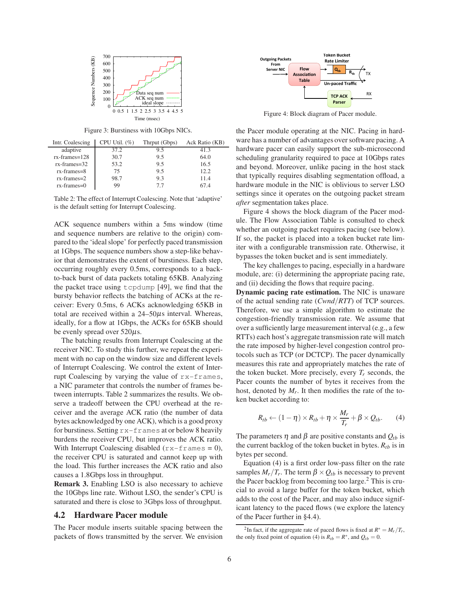

Figure 3: Burstiness with 10Gbps NICs.

| Ack Ratio (KB) |
|----------------|
|                |
|                |
|                |
|                |
|                |
|                |
|                |

Table 2: The effect of Interrupt Coalescing. Note that 'adaptive' is the default setting for Interrupt Coalescing.

ACK sequence numbers within a 5ms window (time and sequence numbers are relative to the origin) compared to the 'ideal slope' for perfectly paced transmission at 1Gbps. The sequence numbers show a step-like behavior that demonstrates the extent of burstiness. Each step, occurring roughly every 0.5ms, corresponds to a backto-back burst of data packets totaling 65KB. Analyzing the packet trace using tcpdump [49], we find that the bursty behavior reflects the batching of ACKs at the receiver: Every 0.5ms, 6 ACKs acknowledging 65KB in total are received within a  $24-50\mu s$  interval. Whereas, ideally, for a flow at 1Gbps, the ACKs for 65KB should be evenly spread over  $520\mu s$ .

The batching results from Interrupt Coalescing at the receiver NIC. To study this further, we repeat the experiment with no cap on the window size and different levels of Interrupt Coalescing. We control the extent of Interrupt Coalescing by varying the value of rx-frames, a NIC parameter that controls the number of frames between interrupts. Table 2 summarizes the results. We observe a tradeoff between the CPU overhead at the receiver and the average ACK ratio (the number of data bytes acknowledged by one ACK), which is a good proxy for burstiness. Setting rx-frames at or below 8 heavily burdens the receiver CPU, but improves the ACK ratio. With Interrupt Coalescing disabled  $(r \times -f \cdot \tau)$  = 0), the receiver CPU is saturated and cannot keep up with the load. This further increases the ACK ratio and also causes a 1.8Gbps loss in throughput.

**Remark 3.** Enabling LSO is also necessary to achieve the 10Gbps line rate. Without LSO, the sender's CPU is saturated and there is close to 3Gbps loss of throughput.

### **4.2 Hardware Pacer module**

The Pacer module inserts suitable spacing between the packets of flows transmitted by the server. We envision



Figure 4: Block diagram of Pacer module.

the Pacer module operating at the NIC. Pacing in hardware has a number of advantages over software pacing. A hardware pacer can easily support the sub-microsecond scheduling granularity required to pace at 10Gbps rates and beyond. Moreover, unlike pacing in the host stack that typically requires disabling segmentation offload, a hardware module in the NIC is oblivious to server LSO settings since it operates on the outgoing packet stream *after* segmentation takes place.

Figure 4 shows the block diagram of the Pacer module. The Flow Association Table is consulted to check whether an outgoing packet requires pacing (see below). If so, the packet is placed into a token bucket rate limiter with a configurable transmission rate. Otherwise, it bypasses the token bucket and is sent immediately.

The key challenges to pacing, especially in a hardware module, are: (i) determining the appropriate pacing rate, and (ii) deciding the flows that require pacing.

**Dynamic pacing rate estimation.** The NIC is unaware of the actual sending rate (*Cwnd*/*RTT*) of TCP sources. Therefore, we use a simple algorithm to estimate the congestion-friendly transmission rate. We assume that over a sufficiently large measurement interval (e.g., a few RTTs) each host's aggregate transmission rate will match the rate imposed by higher-level congestion control protocols such as TCP (or DCTCP). The pacer dynamically measures this rate and appropriately matches the rate of the token bucket. More precisely, every  $T_r$  seconds, the Pacer counts the number of bytes it receives from the host, denoted by  $M_r$ . It then modifies the rate of the token bucket according to:

$$
R_{tb} \leftarrow (1 - \eta) \times R_{tb} + \eta \times \frac{M_r}{T_r} + \beta \times Q_{tb}.
$$
 (4)

The parameters  $\eta$  and  $\beta$  are positive constants and  $Q_{tb}$  is the current backlog of the token bucket in bytes.  $R_{th}$  is in bytes per second.

Equation (4) is a first order low-pass filter on the rate samples  $M_r/T_r$ . The term  $\beta \times Q_{tb}$  is necessary to prevent the Pacer backlog from becoming too large.<sup>2</sup> This is crucial to avoid a large buffer for the token bucket, which adds to the cost of the Pacer, and may also induce significant latency to the paced flows (we explore the latency of the Pacer further in §4.4).

<sup>&</sup>lt;sup>2</sup>In fact, if the aggregate rate of paced flows is fixed at  $R^* = M_r/T_r$ , the only fixed point of equation (4) is  $R_{tb} = R^*$ , and  $Q_{tb} = 0$ .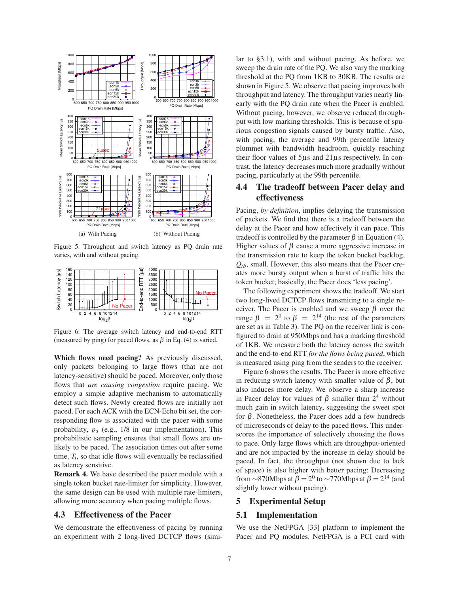

Figure 5: Throughput and switch latency as PQ drain rate varies, with and without pacing.



Figure 6: The average switch latency and end-to-end RTT (measured by ping) for paced flows, as  $\beta$  in Eq. (4) is varied.

**Which flows need pacing?** As previously discussed, only packets belonging to large flows (that are not latency-sensitive) should be paced. Moreover, only those flows that *are causing congestion* require pacing. We employ a simple adaptive mechanism to automatically detect such flows. Newly created flows are initially not paced. For each ACK with the ECN-Echo bit set, the corresponding flow is associated with the pacer with some probability, *p<sup>a</sup>* (e.g., 1/8 in our implementation). This probabilistic sampling ensures that small flows are unlikely to be paced. The association times out after some time,  $T_i$ , so that idle flows will eventually be reclassified as latency sensitive.

**Remark 4.** We have described the pacer module with a single token bucket rate-limiter for simplicity. However, the same design can be used with multiple rate-limiters, allowing more accuracy when pacing multiple flows.

### **4.3 Effectiveness of the Pacer**

We demonstrate the effectiveness of pacing by running an experiment with 2 long-lived DCTCP flows (similar to §3.1), with and without pacing. As before, we sweep the drain rate of the PQ. We also vary the marking threshold at the PQ from 1KB to 30KB. The results are shown in Figure 5. We observe that pacing improves both throughput and latency. The throughput varies nearly linearly with the PQ drain rate when the Pacer is enabled. Without pacing, however, we observe reduced throughput with low marking thresholds. This is because of spurious congestion signals caused by bursty traffic. Also, with pacing, the average and 99th percentile latency plummet with bandwidth headroom, quickly reaching their floor values of  $5\mu s$  and  $21\mu s$  respectively. In contrast, the latency decreases much more gradually without pacing, particularly at the 99th percentile.

# **4.4 The tradeoff between Pacer delay and effectiveness**

Pacing, *by definition*, implies delaying the transmission of packets. We find that there is a tradeoff between the delay at the Pacer and how effectively it can pace. This tradeoff is controlled by the parameter  $β$  in Equation (4). Higher values of  $\beta$  cause a more aggressive increase in the transmission rate to keep the token bucket backlog,  $Q_{th}$ , small. However, this also means that the Pacer creates more bursty output when a burst of traffic hits the token bucket; basically, the Pacer does 'less pacing'.

The following experiment shows the tradeoff. We start two long-lived DCTCP flows transmiting to a single receiver. The Pacer is enabled and we sweep  $\beta$  over the range  $β = 2<sup>0</sup>$  to  $β = 2<sup>14</sup>$  (the rest of the parameters are set as in Table 3). The PQ on the receiver link is configured to drain at 950Mbps and has a marking threshold of 1KB. We measure both the latency across the switch and the end-to-end RTT *for the flows being paced*, which is measured using ping from the senders to the receiver.

Figure 6 shows the results. The Pacer is more effective in reducing switch latency with smaller value of  $\beta$ , but also induces more delay. We observe a sharp increase in Pacer delay for values of  $\beta$  smaller than  $2^4$  without much gain in switch latency, suggesting the sweet spot for β. Nonetheless, the Pacer does add a few hundreds of microseconds of delay to the paced flows. This underscores the importance of selectively choosing the flows to pace. Only large flows which are throughput-oriented and are not impacted by the increase in delay should be paced. In fact, the throughput (not shown due to lack of space) is also higher with better pacing: Decreasing from  $\sim$ 870Mbps at  $\beta = 2^0$  to  $\sim$ 770Mbps at  $\beta = 2^{14}$  (and slightly lower without pacing).

### **5 Experimental Setup**

### **5.1 Implementation**

We use the NetFPGA [33] platform to implement the Pacer and PQ modules. NetFPGA is a PCI card with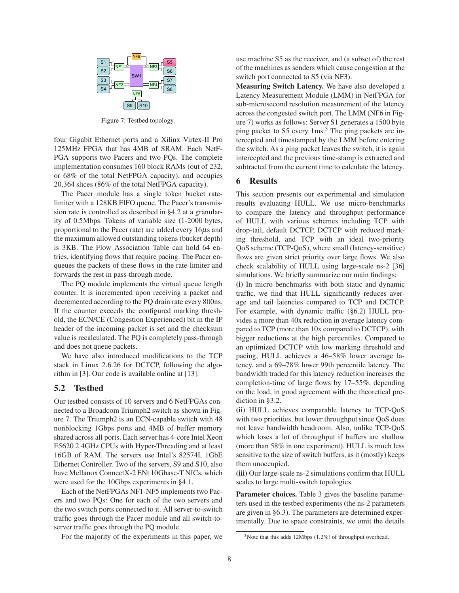

Figure 7: Testbed topology.

four Gigabit Ethernet ports and a Xilinx Virtex-II Pro 125MHz FPGA that has 4MB of SRAM. Each NetF-PGA supports two Pacers and two PQs. The complete implementation consumes 160 block RAMs (out of 232, or 68% of the total NetFPGA capacity), and occupies 20,364 slices (86% of the total NetFPGA capacity).

The Pacer module has a single token bucket ratelimiter with a 128KB FIFO queue. The Pacer's transmission rate is controlled as described in §4.2 at a granularity of 0.5Mbps. Tokens of variable size (1-2000 bytes, proportional to the Pacer rate) are added every  $16\mu s$  and the maximum allowed outstanding tokens (bucket depth) is 3KB. The Flow Association Table can hold 64 entries, identifying flows that require pacing. The Pacer enqueues the packets of these flows in the rate-limiter and forwards the rest in pass-through mode.

The PQ module implements the virtual queue length counter. It is incremented upon receiving a packet and decremented according to the PQ drain rate every 800ns. If the counter exceeds the configured marking threshold, the ECN/CE (Congestion Experienced) bit in the IP header of the incoming packet is set and the checksum value is recalculated. The PQ is completely pass-through and does not queue packets.

We have also introduced modifications to the TCP stack in Linux 2.6.26 for DCTCP, following the algorithm in [3]. Our code is available online at [13].

### **5.2 Testbed**

Our testbed consists of 10 servers and 6 NetFPGAs connected to a Broadcom Triumph2 switch as shown in Figure 7. The Triumph2 is an ECN-capable switch with 48 nonblocking 1Gbps ports and 4MB of buffer memory shared across all ports. Each server has 4-core Intel Xeon E5620 2.4GHz CPUs with Hyper-Threading and at least 16GB of RAM. The servers use Intel's 82574L 1GbE Ethernet Controller. Two of the servers, S9 and S10, also have Mellanox ConnectX-2 ENt 10Gbase-T NICs, which were used for the 10Gbps experiments in §4.1.

Each of the NetFPGAs NF1-NF5 implements two Pacers and two PQs: One for each of the two servers and the two switch ports connected to it. All server-to-switch traffic goes through the Pacer module and all switch-toserver traffic goes through the PQ module.

For the majority of the experiments in this paper, we

use machine S5 as the receiver, and (a subset of) the rest of the machines as senders which cause congestion at the switch port connected to S5 (via NF3).

**Measuring Switch Latency.** We have also developed a Latency Measurement Module (LMM) in NetFPGA for sub-microsecond resolution measurement of the latency across the congested switch port. The LMM (NF6 in Figure 7) works as follows: Server S1 generates a 1500 byte ping packet to S5 every 1ms.<sup>3</sup> The ping packets are intercepted and timestamped by the LMM before entering the switch. As a ping packet leaves the switch, it is again intercepted and the previous time-stamp is extracted and subtracted from the current time to calculate the latency.

### **6 Results**

This section presents our experimental and simulation results evaluating HULL. We use micro-benchmarks to compare the latency and throughput performance of HULL with various schemes including TCP with drop-tail, default DCTCP, DCTCP with reduced marking threshold, and TCP with an ideal two-priority QoS scheme (TCP-QoS), where small (latency-sensitive) flows are given strict priority over large flows. We also check scalability of HULL using large-scale ns-2 [36] simulations. We briefly summarize our main findings:

**(i)** In micro benchmarks with both static and dynamic traffic, we find that HULL significantly reduces average and tail latencies compared to TCP and DCTCP. For example, with dynamic traffic (§6.2) HULL provides a more than 40x reduction in average latency compared to TCP (more than 10x compared to DCTCP), with bigger reductions at the high percentiles. Compared to an optimized DCTCP with low marking threshold and pacing, HULL achieves a 46–58% lower average latency, and a 69–78% lower 99th percentile latency. The bandwidth traded for this latency reduction increases the completion-time of large flows by 17–55%, depending on the load, in good agreement with the theoretical prediction in §3.2.

**(ii)** HULL achieves comparable latency to TCP-QoS with two priorities, but lower throughput since QoS does not leave bandwidth headroom. Also, unlike TCP-QoS which loses a lot of throughput if buffers are shallow (more than 58% in one experiment), HULL is much less sensitive to the size of switch buffers, as it (mostly) keeps them unoccupied.

**(iii)** Our large-scale ns-2 simulations confirm that HULL scales to large multi-switch topologies.

**Parameter choices.** Table 3 gives the baseline parameters used in the testbed experiments (the ns-2 parameters are given in §6.3). The parameters are determined experimentally. Due to space constraints, we omit the details

 $3$ Note that this adds 12Mbps (1.2%) of throughput overhead.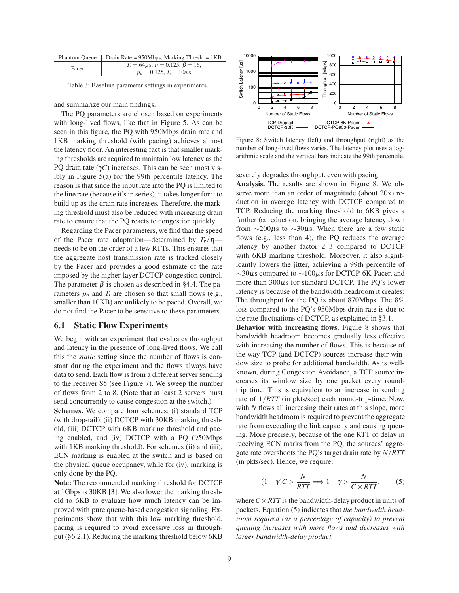|             | Phantom Queue   Drain Rate = $950Mbps$ , Marking Thresh. = 1KB |
|-------------|----------------------------------------------------------------|
| $D_{0.999}$ | $T_r = 64 \mu s$ , $\eta = 0.125$ , $\beta = 16$ ,             |

Pacer  $T_r = 64\mu s, \eta = 0.125, \beta = 16,$ <br> $p_a = 0.125, T_i = 10m s$ 

Table 3: Baseline parameter settings in experiments.

and summarize our main findings.

The PQ parameters are chosen based on experiments with long-lived flows, like that in Figure 5. As can be seen in this figure, the PQ with 950Mbps drain rate and 1KB marking threshold (with pacing) achieves almost the latency floor. An interesting fact is that smaller marking thresholds are required to maintain low latency as the PQ drain rate (γ*C*) increases. This can be seen most visibly in Figure 5(a) for the 99th percentile latency. The reason is that since the input rate into the PQ is limited to the line rate (because it's in series), it takes longer for it to build up as the drain rate increases. Therefore, the marking threshold must also be reduced with increasing drain rate to ensure that the PQ reacts to congestion quickly.

Regarding the Pacer parameters, we find that the speed of the Pacer rate adaptation—determined by  $T_r/\eta$  needs to be on the order of a few RTTs. This ensures that the aggregate host transmission rate is tracked closely by the Pacer and provides a good estimate of the rate imposed by the higher-layer DCTCP congestion control. The parameter  $\beta$  is chosen as described in §4.4. The parameters  $p_a$  and  $T_i$  are chosen so that small flows (e.g., smaller than 10KB) are unlikely to be paced. Overall, we do not find the Pacer to be sensitive to these parameters.

### **6.1 Static Flow Experiments**

We begin with an experiment that evaluates throughput and latency in the presence of long-lived flows. We call this the *static* setting since the number of flows is constant during the experiment and the flows always have data to send. Each flow is from a different server sending to the receiver S5 (see Figure 7). We sweep the number of flows from 2 to 8. (Note that at least 2 servers must send concurrently to cause congestion at the switch.)

**Schemes.** We compare four schemes: (i) standard TCP (with drop-tail), (ii) DCTCP with 30KB marking threshold, (iii) DCTCP with 6KB marking threshold and pacing enabled, and (iv) DCTCP with a PQ (950Mbps with 1KB marking threshold). For schemes (ii) and (iii), ECN marking is enabled at the switch and is based on the physical queue occupancy, while for (iv), marking is only done by the PQ.

**Note:** The recommended marking threshold for DCTCP at 1Gbps is 30KB [3]. We also lower the marking threshold to 6KB to evaluate how much latency can be improved with pure queue-based congestion signaling. Experiments show that with this low marking threshold, pacing is required to avoid excessive loss in throughput (§6.2.1). Reducing the marking threshold below 6KB



Figure 8: Switch latency (left) and throughput (right) as the number of long-lived flows varies. The latency plot uses a logarithmic scale and the vertical bars indicate the 99th percentile.

severely degrades throughput, even with pacing.

**Analysis.** The results are shown in Figure 8. We observe more than an order of magnitude (about 20x) reduction in average latency with DCTCP compared to TCP. Reducing the marking threshold to 6KB gives a further 6x reduction, bringing the average latency down from  $\sim$ 200µs to  $\sim$ 30µs. When there are a few static flows (e.g., less than 4), the PQ reduces the average latency by another factor 2–3 compared to DCTCP with 6KB marking threshold. Moreover, it also significantly lowers the jitter, achieving a 99th percentile of ∼30µs compared to ∼100µs for DCTCP-6K-Pacer, and more than 300µs for standard DCTCP. The PQ's lower latency is because of the bandwidth headroom it creates: The throughput for the PQ is about 870Mbps. The 8% loss compared to the PQ's 950Mbps drain rate is due to the rate fluctuations of DCTCP, as explained in §3.1.

**Behavior with increasing flows.** Figure 8 shows that bandwidth headroom becomes gradually less effective with increasing the number of flows. This is because of the way TCP (and DCTCP) sources increase their window size to probe for additional bandwidth. As is wellknown, during Congestion Avoidance, a TCP source increases its window size by one packet every roundtrip time. This is equivalent to an increase in sending rate of 1/*RTT* (in pkts/sec) each round-trip-time. Now, with *N* flows all increasing their rates at this slope, more bandwidth headroom is required to prevent the aggregate rate from exceeding the link capacity and causing queuing. More precisely, because of the one RTT of delay in receiving ECN marks from the PQ, the sources' aggregate rate overshoots the PQ's target drain rate by *N*/*RTT* (in pkts/sec). Hence, we require:

$$
(1 - \gamma)C > \frac{N}{RTT} \Longrightarrow 1 - \gamma > \frac{N}{C \times RTT},
$$
 (5)

where  $C \times RTT$  is the bandwidth-delay product in units of packets. Equation (5) indicates that *the bandwidth headroom required (as a percentage of capacity) to prevent queuing increases with more flows and decreases with larger bandwidth-delay product.*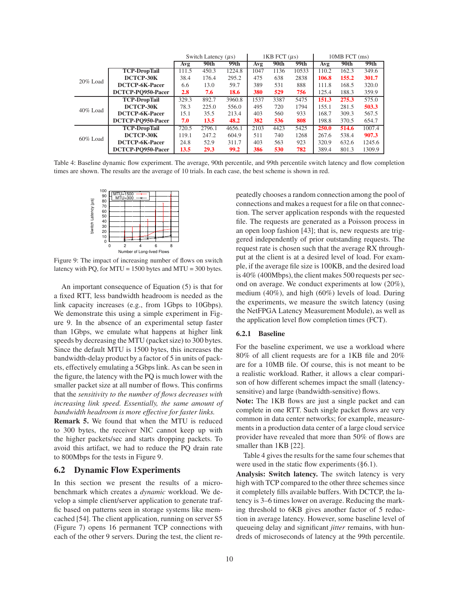|                         |                       | Switch Latency $(\mu s)$ |        |             | $1KB$ FCT $(\mu s)$ |      |       | 10MB FCT (ms) |       |        |
|-------------------------|-----------------------|--------------------------|--------|-------------|---------------------|------|-------|---------------|-------|--------|
|                         |                       | Avg                      | 90th   | 99th        | Avg                 | 90th | 99th  | Avg           | 90th  | 99th   |
| $20\%$ Load             | <b>TCP-DropTail</b>   | 111.5                    | 450.3  | 1224.8      | 1047                | 1136 | 10533 | 110.2         | 162.3 | 349.6  |
|                         | DCTCP-30K             | 38.4                     | 176.4  | 295.2       | 475                 | 638  | 2838  | 106.8         | 155.2 | 301.7  |
|                         | DCTCP-6K-Pacer        | 6.6                      | 13.0   | 59.7        | 389                 | 531  | 888   | 111.8         | 168.5 | 320.0  |
|                         | DCTCP-PO950-Pacer     | 2.8                      | 7.6    | <b>18.6</b> | 380                 | 529  | 756   | 125.4         | 188.3 | 359.9  |
| 40% Load<br>$60\%$ Load | <b>TCP-DropTail</b>   | 329.3                    | 892.7  | 3960.8      | 1537                | 3387 | 5475  | 151.3         | 275.3 | 575.0  |
|                         | DCTCP-30K             | 78.3                     | 225.0  | 556.0       | 495                 | 720  | 1794  | 155.1         | 281.5 | 503.3  |
|                         | DCTCP-6K-Pacer        | 15.1                     | 35.5   | 213.4       | 403                 | 560  | 933   | 168.7         | 309.3 | 567.5  |
|                         | DCTCP-PO950-Pacer     | 7.0                      | 13.5   | 48.2        | 382                 | 536  | 808   | 198.8         | 370.5 | 654.7  |
|                         | <b>TCP-DropTail</b>   | 720.5                    | 2796.1 | 4656.1      | 2103                | 4423 | 5425  | <b>250.0</b>  | 514.6 | 1007.4 |
|                         | DCTCP-30K             | 119.1                    | 247.2  | 604.9       | 511                 | 740  | 1268  | 267.6         | 538.4 | 907.3  |
|                         | <b>DCTCP-6K-Pacer</b> | 24.8                     | 52.9   | 311.7       | 403                 | 563  | 923   | 320.9         | 632.6 | 1245.6 |
|                         | DCTCP-PO950-Pacer     | 13.5                     | 29.3   | 99.2        | 386                 | 530  | 782   | 389.4         | 801.3 | 1309.9 |

Table 4: Baseline dynamic flow experiment. The average, 90th percentile, and 99th percentile switch latency and flow completion times are shown. The results are the average of 10 trials. In each case, the best scheme is shown in red.



Figure 9: The impact of increasing number of flows on switch latency with PQ, for MTU = 1500 bytes and MTU = 300 bytes.

An important consequence of Equation (5) is that for a fixed RTT, less bandwidth headroom is needed as the link capacity increases (e.g., from 1Gbps to 10Gbps). We demonstrate this using a simple experiment in Figure 9. In the absence of an experimental setup faster than 1Gbps, we emulate what happens at higher link speeds by decreasing the MTU (packet size) to 300 bytes. Since the default MTU is 1500 bytes, this increases the bandwidth-delay product by a factor of 5 in units of packets, effectively emulating a 5Gbps link. As can be seen in the figure, the latency with the PQ is much lower with the smaller packet size at all number of flows. This confirms that the *sensitivity to the number of flows decreases with increasing link speed. Essentially, the same amount of bandwidth headroom is more effective for faster links.*

**Remark 5.** We found that when the MTU is reduced to 300 bytes, the receiver NIC cannot keep up with the higher packets/sec and starts dropping packets. To avoid this artifact, we had to reduce the PQ drain rate to 800Mbps for the tests in Figure 9.

### **6.2 Dynamic Flow Experiments**

In this section we present the results of a microbenchmark which creates a *dynamic* workload. We develop a simple client/server application to generate traffic based on patterns seen in storage systems like memcached [54]. The client application, running on server S5 (Figure 7) opens 16 permanent TCP connections with each of the other 9 servers. During the test, the client repeatedly chooses a random connection among the pool of connections and makes a request for a file on that connection. The server application responds with the requested file. The requests are generated as a Poisson process in an open loop fashion [43]; that is, new requests are triggered independently of prior outstanding requests. The request rate is chosen such that the average RX throughput at the client is at a desired level of load. For example, if the average file size is 100KB, and the desired load is 40% (400Mbps), the client makes 500 requests per second on average. We conduct experiments at low (20%), medium (40%), and high (60%) levels of load. During the experiments, we measure the switch latency (using the NetFPGA Latency Measurement Module), as well as the application level flow completion times (FCT).

#### **6.2.1 Baseline**

For the baseline experiment, we use a workload where 80% of all client requests are for a 1KB file and 20% are for a 10MB file. Of course, this is not meant to be a realistic workload. Rather, it allows a clear comparison of how different schemes impact the small (latencysensitive) and large (bandwidth-sensitive) flows.

**Note:** The 1KB flows are just a single packet and can complete in one RTT. Such single packet flows are very common in data center networks; for example, measurements in a production data center of a large cloud service provider have revealed that more than 50% of flows are smaller than 1KB [22].

Table 4 gives the results for the same four schemes that were used in the static flow experiments (§6.1).

**Analysis: Switch latency.** The switch latency is very high with TCP compared to the other three schemes since it completely fills available buffers. With DCTCP, the latency is 3–6 times lower on average. Reducing the marking threshold to 6KB gives another factor of 5 reduction in average latency. However, some baseline level of queueing delay and significant *jitter* remains, with hundreds of microseconds of latency at the 99th percentile.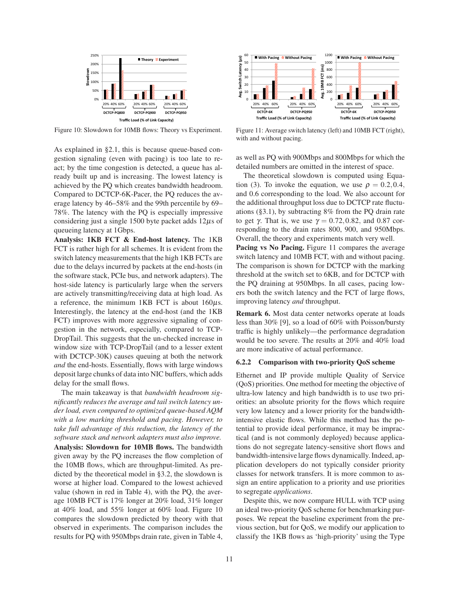

Figure 10: Slowdown for 10MB flows: Theory vs Experiment.

As explained in §2.1, this is because queue-based congestion signaling (even with pacing) is too late to react; by the time congestion is detected, a queue has already built up and is increasing. The lowest latency is achieved by the PQ which creates bandwidth headroom. Compared to DCTCP-6K-Pacer, the PQ reduces the average latency by 46–58% and the 99th percentile by 69– 78%. The latency with the PQ is especially impressive considering just a single 1500 byte packet adds  $12\mu s$  of queueing latency at 1Gbps.

**Analysis: 1KB FCT & End-host latency.** The 1KB FCT is rather high for all schemes. It is evident from the switch latency measurements that the high 1KB FCTs are due to the delays incurred by packets at the end-hosts (in the software stack, PCIe bus, and network adapters). The host-side latency is particularly large when the servers are actively transmitting/receiving data at high load. As a reference, the minimum 1KB FCT is about  $160\mu s$ . Interestingly, the latency at the end-host (and the 1KB FCT) improves with more aggressive signaling of congestion in the network, especially, compared to TCP-DropTail. This suggests that the un-checked increase in window size with TCP-DropTail (and to a lesser extent with DCTCP-30K) causes queuing at both the network *and* the end-hosts. Essentially, flows with large windows deposit large chunks of data into NIC buffers, which adds delay for the small flows.

The main takeaway is that *bandwidth headroom significantly reduces the average and tail switch latency under load, even compared to optimized queue-based AQM with a low marking threshold and pacing. However, to take full advantage of this reduction, the latency of the software stack and network adapters must also improve.* **Analysis: Slowdown for 10MB flows.** The bandwidth given away by the PQ increases the flow completion of the 10MB flows, which are throughput-limited. As predicted by the theoretical model in §3.2, the slowdown is worse at higher load. Compared to the lowest achieved value (shown in red in Table 4), with the PQ, the average 10MB FCT is 17% longer at 20% load, 31% longer at 40% load, and 55% longer at 60% load. Figure 10 compares the slowdown predicted by theory with that observed in experiments. The comparison includes the results for PQ with 950Mbps drain rate, given in Table 4,



Figure 11: Average switch latency (left) and 10MB FCT (right), with and without pacing.

as well as PQ with 900Mbps and 800Mbps for which the detailed numbers are omitted in the interest of space.

The theoretical slowdown is computed using Equation (3). To invoke the equation, we use  $\rho = 0.2, 0.4$ , and 0.6 corresponding to the load. We also account for the additional throughput loss due to DCTCP rate fluctuations (§3.1), by subtracting 8% from the PQ drain rate to get γ. That is, we use  $\gamma = 0.72, 0.82,$  and 0.87 corresponding to the drain rates 800, 900, and 950Mbps. Overall, the theory and experiments match very well.

**Pacing vs No Pacing.** Figure 11 compares the average switch latency and 10MB FCT, with and without pacing. The comparison is shown for DCTCP with the marking threshold at the switch set to 6KB, and for DCTCP with the PQ draining at 950Mbps. In all cases, pacing lowers both the switch latency and the FCT of large flows, improving latency *and* throughput.

**Remark 6.** Most data center networks operate at loads less than 30% [9], so a load of 60% with Poisson/bursty traffic is highly unlikely—the performance degradation would be too severe. The results at 20% and 40% load are more indicative of actual performance.

#### **6.2.2 Comparison with two-priority QoS scheme**

Ethernet and IP provide multiple Quality of Service (QoS) priorities. One method for meeting the objective of ultra-low latency and high bandwidth is to use two priorities: an absolute priority for the flows which require very low latency and a lower priority for the bandwidthintensive elastic flows. While this method has the potential to provide ideal performance, it may be impractical (and is not commonly deployed) because applications do not segregate latency-sensitive short flows and bandwidth-intensive large flows dynamically. Indeed, application developers do not typically consider priority classes for network transfers. It is more common to assign an entire application to a priority and use priorities to segregate *applications*.

Despite this, we now compare HULL with TCP using an ideal two-priority QoS scheme for benchmarking purposes. We repeat the baseline experiment from the previous section, but for QoS, we modify our application to classify the 1KB flows as 'high-priority' using the Type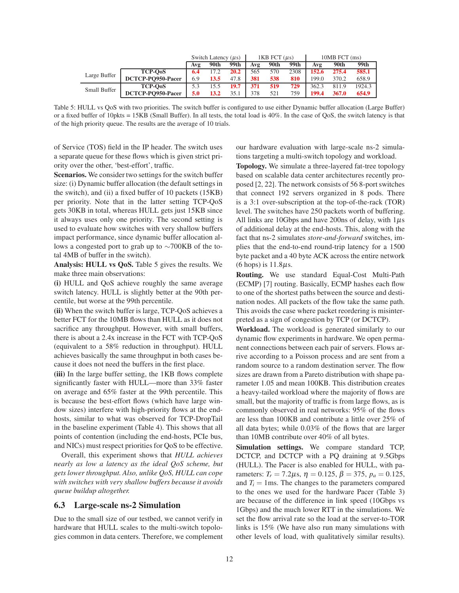|              |                   | Switch Latency $(\mu s)$ |      | $1KB$ FCT $(\mu s)$ |     |      | 10MB FCT (ms) |       |       |        |
|--------------|-------------------|--------------------------|------|---------------------|-----|------|---------------|-------|-------|--------|
|              |                   | Avg                      | 90th | 99th                | Avg | 90th | 99th          | Avg   | 90th  | 99th   |
| Large Buffer | <b>TCP-OoS</b>    | 6.4                      | 17.2 | 20.2                | 565 | 570  | 2308          | 152.6 | 275.4 | 585.1  |
|              | DCTCP-PO950-Pacer | 6.9                      | 13.5 | 47.8                | 381 | 538  | 810           | 199.0 | 370.2 | 658.9  |
| Small Buffer | <b>TCP-OoS</b>    | 5.3                      |      | 19.7                | 371 | 519  | 729           | 362.3 | 811.9 | 1924.3 |
|              | DCTCP-PO950-Pacer | 5.0                      | 13.2 |                     | 378 | 521  | 759           | 199.4 | 367.0 | 654.9  |

Table 5: HULL vs QoS with two priorities. The switch buffer is configured to use either Dynamic buffer allocation (Large Buffer) or a fixed buffer of 10pkts = 15KB (Small Buffer). In all tests, the total load is 40%. In the case of QoS, the switch latency is that of the high priority queue. The results are the average of 10 trials.

of Service (TOS) field in the IP header. The switch uses a separate queue for these flows which is given strict priority over the other, 'best-effort', traffic.

**Scenarios.** We consider two settings for the switch buffer size: (i) Dynamic buffer allocation (the default settings in the switch), and (ii) a fixed buffer of 10 packets (15KB) per priority. Note that in the latter setting TCP-QoS gets 30KB in total, whereas HULL gets just 15KB since it always uses only one priority. The second setting is used to evaluate how switches with very shallow buffers impact performance, since dynamic buffer allocation allows a congested port to grab up to ∼700KB of the total 4MB of buffer in the switch).

**Analysis: HULL vs QoS.** Table 5 gives the results. We make three main observations:

**(i)** HULL and QoS achieve roughly the same average switch latency. HULL is slightly better at the 90th percentile, but worse at the 99th percentile.

**(ii)** When the switch buffer is large, TCP-QoS achieves a better FCT for the 10MB flows than HULL as it does not sacrifice any throughput. However, with small buffers, there is about a 2.4x increase in the FCT with TCP-QoS (equivalent to a 58% reduction in throughput). HULL achieves basically the same throughput in both cases because it does not need the buffers in the first place.

**(iii)** In the large buffer setting, the 1KB flows complete significantly faster with HULL—more than 33% faster on average and 65% faster at the 99th percentile. This is because the best-effort flows (which have large window sizes) interfere with high-priority flows at the endhosts, similar to what was observed for TCP-DropTail in the baseline experiment (Table 4). This shows that all points of contention (including the end-hosts, PCIe bus, and NICs) must respect priorities for QoS to be effective.

Overall, this experiment shows that *HULL achieves nearly as low a latency as the ideal QoS scheme, but gets lower throughput. Also, unlike QoS, HULL can cope with switches with very shallow buffers because it avoids queue buildup altogether.*

### **6.3 Large-scale ns-2 Simulation**

Due to the small size of our testbed, we cannot verify in hardware that HULL scales to the multi-switch topologies common in data centers. Therefore, we complement our hardware evaluation with large-scale ns-2 simulations targeting a multi-switch topology and workload.

**Topology.** We simulate a three-layered fat-tree topology based on scalable data center architectures recently proposed [2, 22]. The network consists of 56 8-port switches that connect 192 servers organized in 8 pods. There is a 3:1 over-subscription at the top-of-the-rack (TOR) level. The switches have 250 packets worth of buffering. All links are 10Gbps and have 200ns of delay, with  $1\mu s$ of additional delay at the end-hosts. This, along with the fact that ns-2 simulates *store-and-forward* switches, implies that the end-to-end round-trip latency for a 1500 byte packet and a 40 byte ACK across the entire network (6 hops) is  $11.8\mu$ s.

**Routing.** We use standard Equal-Cost Multi-Path (ECMP) [7] routing. Basically, ECMP hashes each flow to one of the shortest paths between the source and destination nodes. All packets of the flow take the same path. This avoids the case where packet reordering is misinterpreted as a sign of congestion by TCP (or DCTCP).

**Workload.** The workload is generated similarly to our dynamic flow experiments in hardware. We open permanent connections between each pair of servers. Flows arrive according to a Poisson process and are sent from a random source to a random destination server. The flow sizes are drawn from a Pareto distribution with shape parameter 1.05 and mean 100KB. This distribution creates a heavy-tailed workload where the majority of flows are small, but the majority of traffic is from large flows, as is commonly observed in real networks: 95% of the flows are less than 100KB and contribute a little over 25% of all data bytes; while 0.03% of the flows that are larger than 10MB contribute over 40% of all bytes.

**Simulation settings.** We compare standard TCP, DCTCP, and DCTCP with a PQ draining at 9.5Gbps (HULL). The Pacer is also enabled for HULL, with parameters:  $T_r = 7.2 \mu s$ ,  $\eta = 0.125$ ,  $\beta = 375$ ,  $p_a = 0.125$ , and  $T_i = 1$ ms. The changes to the parameters compared to the ones we used for the hardware Pacer (Table 3) are because of the difference in link speed (10Gbps vs 1Gbps) and the much lower RTT in the simulations. We set the flow arrival rate so the load at the server-to-TOR links is 15% (We have also run many simulations with other levels of load, with qualitatively similar results).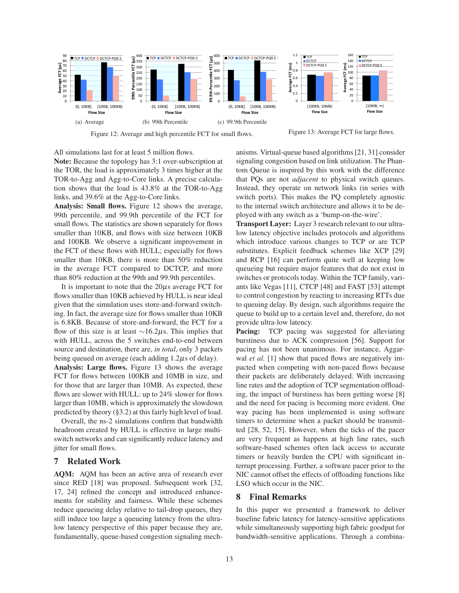

Figure 12: Average and high percentile FCT for small flows.

Figure 13: Average FCT for large flows.

All simulations last for at least 5 million flows.

**Note:** Because the topology has 3:1 over-subscription at the TOR, the load is approximately 3 times higher at the TOR-to-Agg and Agg-to-Core links. A precise calculation shows that the load is 43.8% at the TOR-to-Agg links, and 39.6% at the Agg-to-Core links.

**Analysis: Small flows.** Figure 12 shows the average, 99th percentile, and 99.9th percentile of the FCT for small flows. The statistics are shown separately for flows smaller than 10KB, and flows with size between 10KB and 100KB. We observe a significant improvement in the FCT of these flows with HULL; especially for flows smaller than 10KB, there is more than 50% reduction in the average FCT compared to DCTCP, and more than 80% reduction at the 99th and 99.9th percentiles.

It is important to note that the  $20\mu s$  average FCT for flows smaller than 10KB achieved by HULL is near ideal given that the simulation uses store-and-forward switching. In fact, the average size for flows smaller than 10KB is 6.8KB. Because of store-and-forward, the FCT for a flow of this size is at least  $\sim$ 16.2µs. This implies that with HULL, across the 5 switches end-to-end between source and destination, there are, *in total*, only 3 packets being queued on average (each adding  $1.2\mu s$  of delay).

**Analysis: Large flows.** Figure 13 shows the average FCT for flows between 100KB and 10MB in size, and for those that are larger than 10MB. As expected, these flows are slower with HULL: up to 24% slower for flows larger than 10MB, which is approximately the slowdown predicted by theory (§3.2) at this fairly high level of load.

Overall, the ns-2 simulations confirm that bandwidth headroom created by HULL is effective in large multiswitch networks and can significantly reduce latency and jitter for small flows.

### **7 Related Work**

**AQM:** AQM has been an active area of research ever since RED [18] was proposed. Subsequent work [32, 17, 24] refined the concept and introduced enhancements for stability and fairness. While these schemes reduce queueing delay relative to tail-drop queues, they still induce too large a queueing latency from the ultralow latency perspective of this paper because they are, fundamentally, queue-based congestion signaling mechanisms. Virtual-queue based algorithms [21, 31] consider signaling congestion based on link utilization. The Phantom Queue is inspired by this work with the difference that PQs are not *adjacent* to physical switch queues. Instead, they operate on network links (in series with switch ports). This makes the PQ completely agnostic to the internal switch architecture and allows it to be deployed with any switch as a 'bump-on-the-wire'.

**Transport Layer:** Layer 3 research relevant to our ultralow latency objective includes protocols and algorithms which introduce various changes to TCP or are TCP substitutes. Explicit feedback schemes like XCP [29] and RCP [16] can perform quite well at keeping low queueing but require major features that do not exist in switches or protocols today. Within the TCP family, variants like Vegas [11], CTCP [48] and FAST [53] attempt to control congestion by reacting to increasing RTTs due to queuing delay. By design, such algorithms require the queue to build up to a certain level and, therefore, do not provide ultra-low latency.

**Pacing:** TCP pacing was suggested for alleviating burstiness due to ACK compression [56]. Support for pacing has not been unanimous. For instance, Aggarwal *et al.* [1] show that paced flows are negatively impacted when competing with non-paced flows because their packets are deliberately delayed. With increasing line rates and the adoption of TCP segmentation offloading, the impact of burstiness has been getting worse [8] and the need for pacing is becoming more evident. One way pacing has been implemented is using software timers to determine when a packet should be transmitted [28, 52, 15]. However, when the ticks of the pacer are very frequent as happens at high line rates, such software-based schemes often lack access to accurate timers or heavily burden the CPU with significant interrupt processing. Further, a software pacer prior to the NIC cannot offset the effects of offloading functions like LSO which occur in the NIC.

### **8 Final Remarks**

In this paper we presented a framework to deliver baseline fabric latency for latency-sensitive applications while simultaneously supporting high fabric goodput for bandwidth-sensitive applications. Through a combina